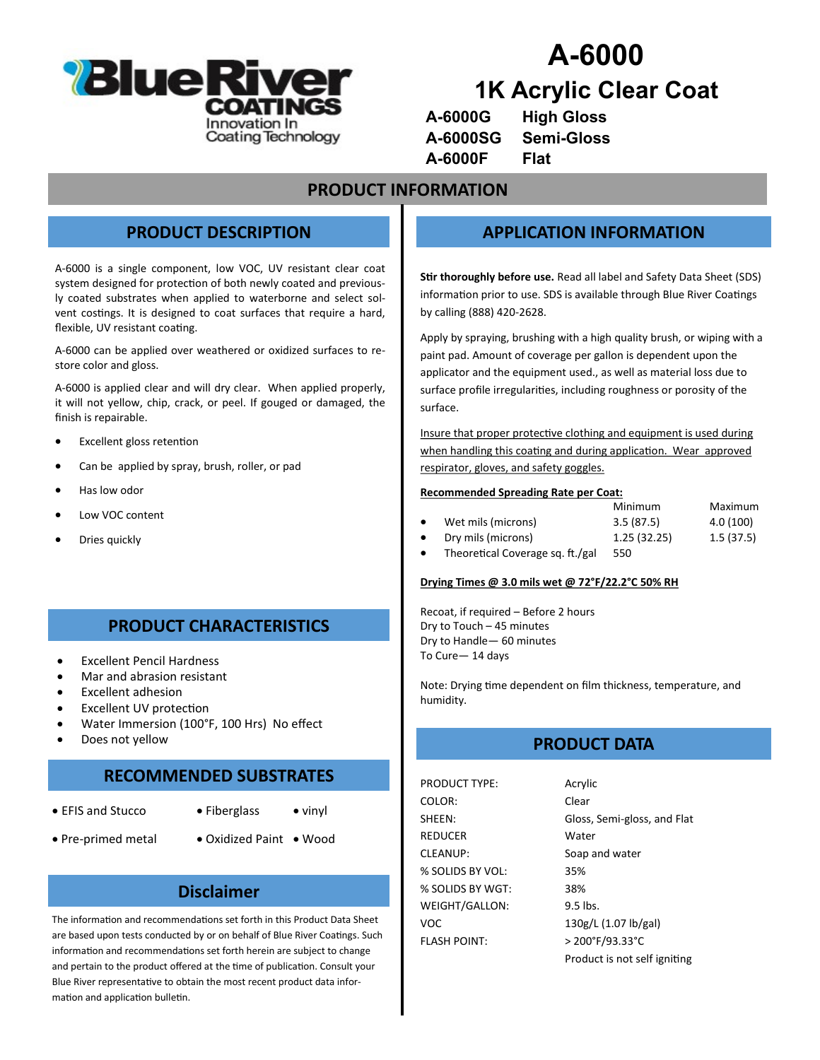

# **A-6000 1K Acrylic Clear Coat**

| A-6000G  | <b>High Gloss</b> |
|----------|-------------------|
| A-6000SG | Semi-Gloss        |
| A-6000F  | Flat              |

### **PRODUCT INFORMATION**

### **PRODUCT DESCRIPTION**

A-6000 is a single component, low VOC, UV resistant clear coat system designed for protection of both newly coated and previously coated substrates when applied to waterborne and select solvent costings. It is designed to coat surfaces that require a hard, flexible, UV resistant coating.

A-6000 can be applied over weathered or oxidized surfaces to restore color and gloss.

A-6000 is applied clear and will dry clear. When applied properly, it will not yellow, chip, crack, or peel. If gouged or damaged, the finish is repairable.

- **Excellent gloss retention**
- Can be applied by spray, brush, roller, or pad
- Has low odor
- Low VOC content
- Dries quickly

### **PRODUCT CHARACTERISTICS**

- Excellent Pencil Hardness
- Mar and abrasion resistant
- Excellent adhesion
- **Excellent UV protection**
- Water Immersion (100°F, 100 Hrs) No effect
- Does not yellow

## **RECOMMENDED SUBSTRATES**

- 
- EFIS and Stucco Fiberglass vinyl
- 
- Pre-primed metal Oxidized Paint Wood

#### **Disclaimer**

The information and recommendations set forth in this Product Data Sheet are based upon tests conducted by or on behalf of Blue River Coatings. Such information and recommendations set forth herein are subject to change and pertain to the product offered at the time of publication. Consult your Blue River representative to obtain the most recent product data information and application bulletin.

### **APPLICATION INFORMATION**

**Stir thoroughly before use.** Read all label and Safety Data Sheet (SDS) information prior to use. SDS is available through Blue River Coatings by calling (888) 420-2628.

Apply by spraying, brushing with a high quality brush, or wiping with a paint pad. Amount of coverage per gallon is dependent upon the applicator and the equipment used., as well as material loss due to surface profile irregularities, including roughness or porosity of the surface.

Insure that proper protective clothing and equipment is used during when handling this coating and during application. Wear approved respirator, gloves, and safety goggles.

#### **Recommended Spreading Rate per Coat:**

|                    | Minimum     | Maximum   |
|--------------------|-------------|-----------|
| Wet mils (microns) | 3.5(87.5)   | 4.0 (100) |
| Dry mils (microns) | 1.25(32.25) | 1.5(37.5) |

• Theoretical Coverage sq. ft./gal 550

#### **Drying Times @ 3.0 mils wet @ 72°F/22.2°C 50% RH**

Recoat, if required – Before 2 hours Dry to Touch – 45 minutes Dry to Handle— 60 minutes To Cure— 14 days

Note: Drying time dependent on film thickness, temperature, and humidity.

### **PRODUCT DATA**

PRODUCT TYPE: Acrylic COLOR: Clear REDUCER Water CLEANUP: Soap and water % SOLIDS BY VOL: 35% % SOLIDS BY WGT: 38% WEIGHT/GALLON: 9.5 lbs. VOC 130g/L (1.07 lb/gal) FLASH POINT: > 200°F/93.33°C

SHEEN: Gloss, Semi-gloss, and Flat Product is not self igniting